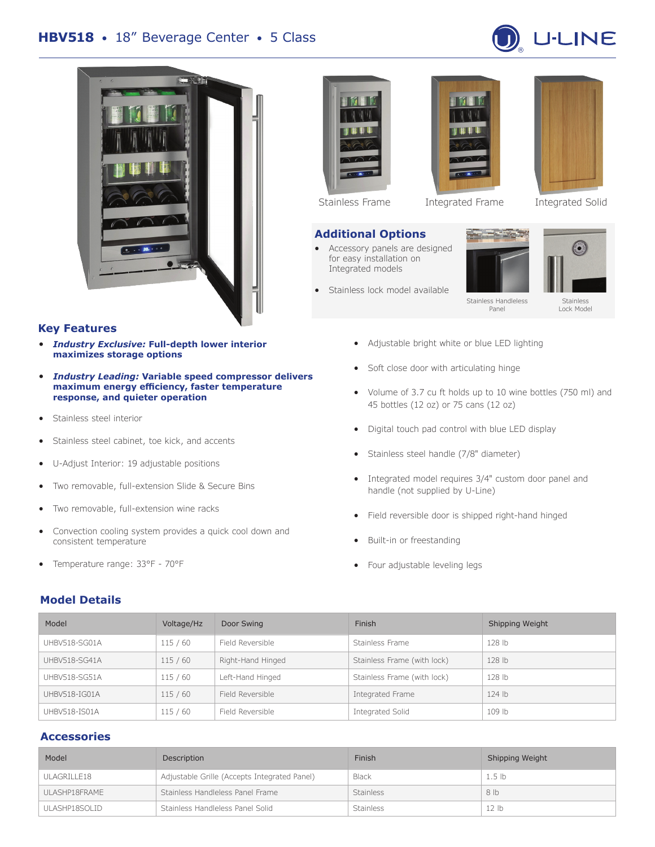



#### **Key Features**

- *Industry Exclusive:* **Full-depth lower interior maximizes storage options**
- *Industry Leading:* **Variable speed compressor delivers maximum energy efficiency, faster temperature response, and quieter operation**
- Stainless steel interior
- Stainless steel cabinet, toe kick, and accents
- U-Adjust Interior: 19 adjustable positions
- Two removable, full-extension Slide & Secure Bins
- Two removable, full-extension wine racks
- Convection cooling system provides a quick cool down and consistent temperature
- Temperature range: 33°F 70°F

#### **Model Details**





#### **Additional Options**

- Accessory panels are designed for easy installation on Integrated models
- Stainless lock model available





# **Call Call** Stainless Handleless Stainless Lock Model

- Adjustable bright white or blue LED lighting
- Soft close door with articulating hinge
- Volume of 3.7 cu ft holds up to 10 wine bottles (750 ml) and 45 bottles (12 oz) or 75 cans (12 oz)

Panel

- Digital touch pad control with blue LED display
- Stainless steel handle (7/8" diameter)
- Integrated model requires 3/4" custom door panel and handle (not supplied by U-Line)
- Field reversible door is shipped right-hand hinged
- Built-in or freestanding
- Four adjustable leveling legs

| Model         | Voltage/Hz | Door Swing        | Finish                      | Shipping Weight |
|---------------|------------|-------------------|-----------------------------|-----------------|
| UHBV518-SG01A | 115/60     | Field Reversible  | Stainless Frame             | 128 lb          |
| UHBV518-SG41A | 115/60     | Right-Hand Hinged | Stainless Frame (with lock) | 128 lb          |
| UHBV518-SG51A | 115/60     | Left-Hand Hinged  | Stainless Frame (with lock) | 128 lb          |
| UHBV518-IG01A | 115/60     | Field Reversible  | Integrated Frame            | $124$ lb        |
| UHBV518-IS01A | 115/60     | Field Reversible  | Integrated Solid            | 109 lb          |

#### **Accessories**

| Model         | Description                                  | Finish           | Shipping Weight   |
|---------------|----------------------------------------------|------------------|-------------------|
| ULAGRILLE18   | Adjustable Grille (Accepts Integrated Panel) | <b>Black</b>     | 1.5 <sub>lb</sub> |
| ULASHP18FRAME | Stainless Handleless Panel Frame             | <b>Stainless</b> | 8 lb              |
| ULASHP18SOLID | Stainless Handleless Panel Solid             | <b>Stainless</b> | 12 <sub>1b</sub>  |